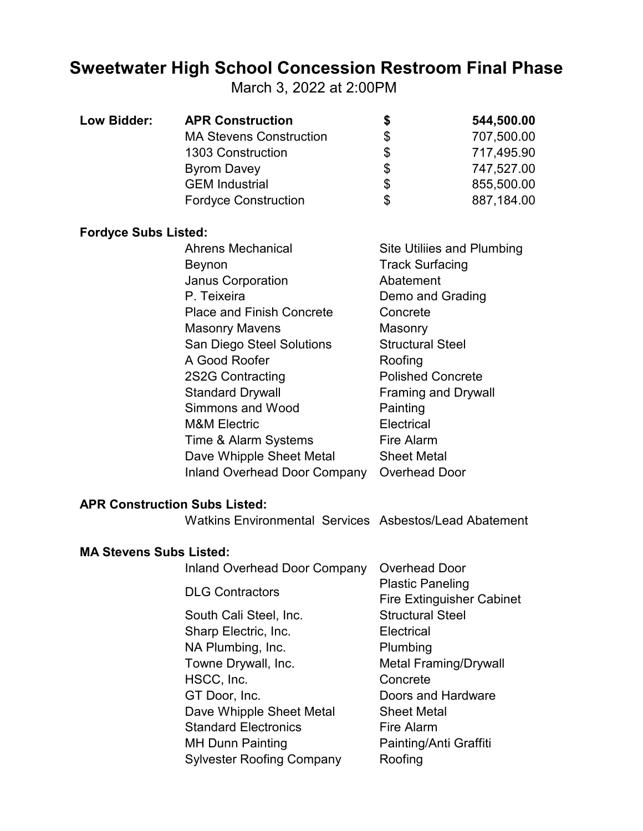## **Sweetwater High School Concession Restroom Final Phase**

March 3, 2022 at 2:00PM

| Low Bidder: | <b>APR Construction</b>        | S  | 544,500.00 |
|-------------|--------------------------------|----|------------|
|             | <b>MA Stevens Construction</b> | \$ | 707,500.00 |
|             | 1303 Construction              | \$ | 717,495.90 |
|             | <b>Byrom Davey</b>             | \$ | 747,527.00 |
|             | <b>GEM Industrial</b>          | \$ | 855,500.00 |
|             | <b>Fordyce Construction</b>    | \$ | 887,184.00 |

## **Fordyce Subs Listed:**

| <b>Ahrens Mechanical</b>         | Site Utiliies and Plumbing |
|----------------------------------|----------------------------|
| Beynon                           | <b>Track Surfacing</b>     |
| <b>Janus Corporation</b>         | Abatement                  |
| P. Teixeira                      | Demo and Grading           |
| <b>Place and Finish Concrete</b> | Concrete                   |
| <b>Masonry Mavens</b>            | Masonry                    |
| San Diego Steel Solutions        | <b>Structural Steel</b>    |
| A Good Roofer                    | Roofing                    |
| 2S2G Contracting                 | <b>Polished Concrete</b>   |
| <b>Standard Drywall</b>          | <b>Framing and Drywall</b> |
| Simmons and Wood                 | Painting                   |
| <b>M&amp;M Electric</b>          | Electrical                 |
| Time & Alarm Systems             | <b>Fire Alarm</b>          |
| Dave Whipple Sheet Metal         | <b>Sheet Metal</b>         |
| Inland Overhead Door Company     | <b>Overhead Door</b>       |
|                                  |                            |

## **APR Construction Subs Listed:**

Watkins Environmental Services Asbestos/Lead Abatement

## **MA Stevens Subs Listed:**

| <b>Inland Overhead Door Company</b> | <b>Overhead Door</b>                                        |  |
|-------------------------------------|-------------------------------------------------------------|--|
| <b>DLG Contractors</b>              | <b>Plastic Paneling</b><br><b>Fire Extinguisher Cabinet</b> |  |
| South Cali Steel, Inc.              | <b>Structural Steel</b>                                     |  |
| Sharp Electric, Inc.                | Electrical                                                  |  |
| NA Plumbing, Inc.                   | Plumbing                                                    |  |
| Towne Drywall, Inc.                 | <b>Metal Framing/Drywall</b>                                |  |
| HSCC, Inc.                          | Concrete                                                    |  |
| GT Door, Inc.                       | Doors and Hardware                                          |  |
| Dave Whipple Sheet Metal            | <b>Sheet Metal</b>                                          |  |
| <b>Standard Electronics</b>         | Fire Alarm                                                  |  |
| <b>MH Dunn Painting</b>             | Painting/Anti Graffiti                                      |  |
| <b>Sylvester Roofing Company</b>    | Roofing                                                     |  |
|                                     |                                                             |  |